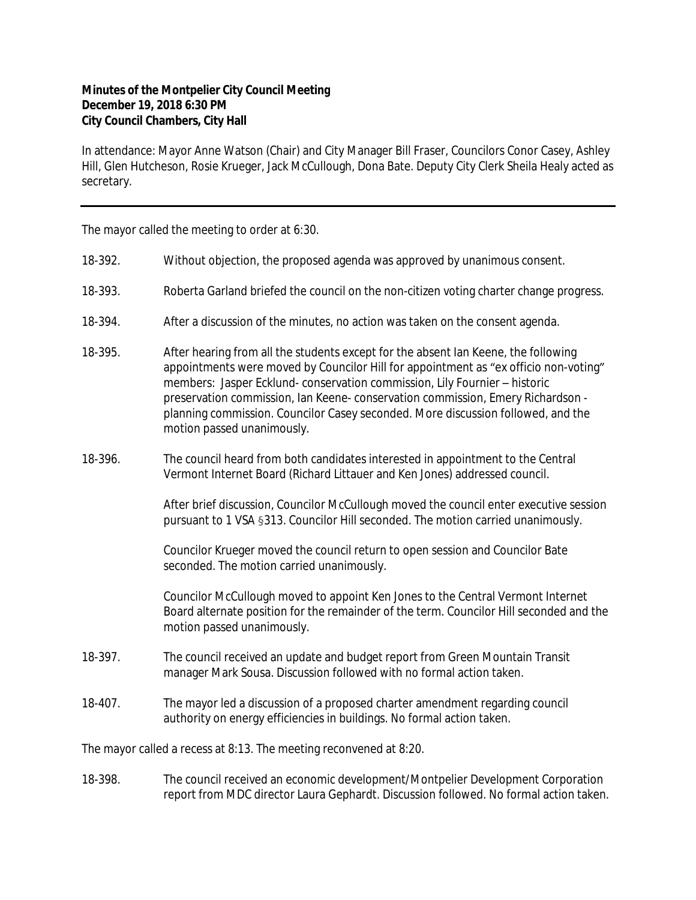## **Minutes of the Montpelier City Council Meeting December 19, 2018 6:30 PM City Council Chambers, City Hall**

In attendance: Mayor Anne Watson (Chair) and City Manager Bill Fraser, Councilors Conor Casey, Ashley Hill, Glen Hutcheson, Rosie Krueger, Jack McCullough, Dona Bate. Deputy City Clerk Sheila Healy acted as secretary.

The mayor called the meeting to order at 6:30.

- 18-392. Without objection, the proposed agenda was approved by unanimous consent.
- 18-393. Roberta Garland briefed the council on the non-citizen voting charter change progress.
- 18-394. After a discussion of the minutes, no action was taken on the consent agenda.
- 18-395. After hearing from all the students except for the absent Ian Keene, the following appointments were moved by Councilor Hill for appointment as "ex officio non-voting" members: Jasper Ecklund- conservation commission, Lily Fournier – historic preservation commission, Ian Keene- conservation commission, Emery Richardson planning commission. Councilor Casey seconded. More discussion followed, and the motion passed unanimously.
- 18-396. The council heard from both candidates interested in appointment to the Central Vermont Internet Board (Richard Littauer and Ken Jones) addressed council.

After brief discussion, Councilor McCullough moved the council enter executive session pursuant to 1 VSA §313. Councilor Hill seconded. The motion carried unanimously.

Councilor Krueger moved the council return to open session and Councilor Bate seconded. The motion carried unanimously.

Councilor McCullough moved to appoint Ken Jones to the Central Vermont Internet Board alternate position for the remainder of the term. Councilor Hill seconded and the motion passed unanimously.

- 18-397. The council received an update and budget report from Green Mountain Transit manager Mark Sousa. Discussion followed with no formal action taken.
- 18-407. The mayor led a discussion of a proposed charter amendment regarding council authority on energy efficiencies in buildings. No formal action taken.

The mayor called a recess at 8:13. The meeting reconvened at 8:20.

18-398. The council received an economic development/Montpelier Development Corporation report from MDC director Laura Gephardt. Discussion followed. No formal action taken.